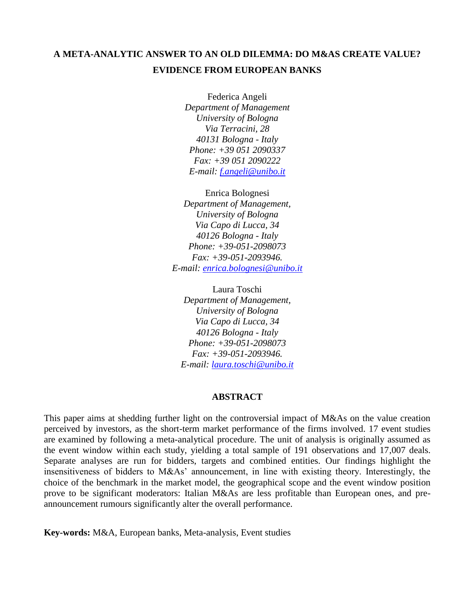# **A META-ANALYTIC ANSWER TO AN OLD DILEMMA: DO M&AS CREATE VALUE? EVIDENCE FROM EUROPEAN BANKS**

Federica Angeli *Department of Management University of Bologna Via Terracini, 28 40131 Bologna - Italy Phone: +39 051 2090337 Fax: +39 051 2090222 E-mail: [f.angeli@unibo.it](mailto:f.angeli@unibo.it)*

Enrica Bolognesi *Department of Management, University of Bologna Via Capo di Lucca, 34 40126 Bologna - Italy Phone: +39-051-2098073 Fax: +39-051-2093946. E-mail: [enrica.bolognesi@unibo.it](mailto:enrica.bolognesi@unibo.it)*

Laura Toschi *Department of Management, University of Bologna Via Capo di Lucca, 34 40126 Bologna - Italy Phone: +39-051-2098073 Fax: +39-051-2093946. E-mail: [laura.toschi@unibo.it](mailto:laura.toschi@unibo.it)*

## **ABSTRACT**

This paper aims at shedding further light on the controversial impact of M&As on the value creation perceived by investors, as the short-term market performance of the firms involved. 17 event studies are examined by following a meta-analytical procedure. The unit of analysis is originally assumed as the event window within each study, yielding a total sample of 191 observations and 17,007 deals. Separate analyses are run for bidders, targets and combined entities. Our findings highlight the insensitiveness of bidders to M&As" announcement, in line with existing theory. Interestingly, the choice of the benchmark in the market model, the geographical scope and the event window position prove to be significant moderators: Italian M&As are less profitable than European ones, and preannouncement rumours significantly alter the overall performance.

**Key-words:** M&A, European banks, Meta-analysis, Event studies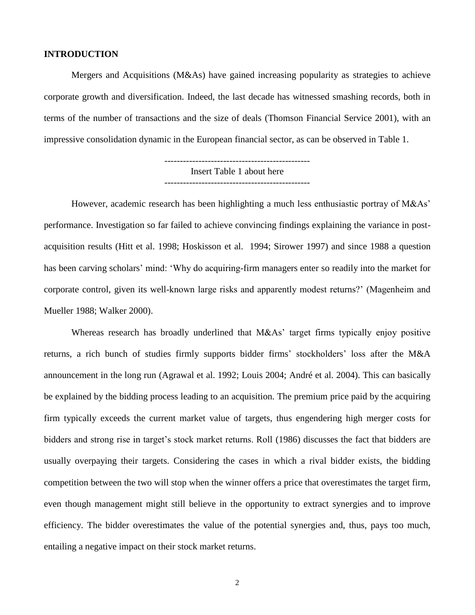## **INTRODUCTION**

Mergers and Acquisitions (M&As) have gained increasing popularity as strategies to achieve corporate growth and diversification. Indeed, the last decade has witnessed smashing records, both in terms of the number of transactions and the size of deals (Thomson Financial Service 2001), with an impressive consolidation dynamic in the European financial sector, as can be observed in Table 1.

> ----------------------------------------------- Insert Table 1 about here -----------------------------------------------

However, academic research has been highlighting a much less enthusiastic portray of M&As' performance. Investigation so far failed to achieve convincing findings explaining the variance in postacquisition results (Hitt et al. 1998; Hoskisson et al. 1994; Sirower 1997) and since 1988 a question has been carving scholars' mind: 'Why do acquiring-firm managers enter so readily into the market for corporate control, given its well-known large risks and apparently modest returns?" (Magenheim and Mueller 1988; Walker 2000).

Whereas research has broadly underlined that M&As' target firms typically enjoy positive returns, a rich bunch of studies firmly supports bidder firms" stockholders" loss after the M&A announcement in the long run (Agrawal et al. 1992; Louis 2004; André et al. 2004). This can basically be explained by the bidding process leading to an acquisition. The premium price paid by the acquiring firm typically exceeds the current market value of targets, thus engendering high merger costs for bidders and strong rise in target's stock market returns. Roll (1986) discusses the fact that bidders are usually overpaying their targets. Considering the cases in which a rival bidder exists, the bidding competition between the two will stop when the winner offers a price that overestimates the target firm, even though management might still believe in the opportunity to extract synergies and to improve efficiency. The bidder overestimates the value of the potential synergies and, thus, pays too much, entailing a negative impact on their stock market returns.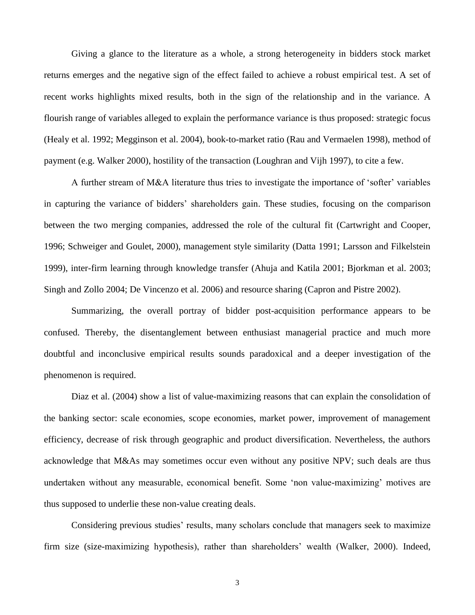Giving a glance to the literature as a whole, a strong heterogeneity in bidders stock market returns emerges and the negative sign of the effect failed to achieve a robust empirical test. A set of recent works highlights mixed results, both in the sign of the relationship and in the variance. A flourish range of variables alleged to explain the performance variance is thus proposed: strategic focus (Healy et al. 1992; Megginson et al. 2004), book-to-market ratio (Rau and Vermaelen 1998), method of payment (e.g. Walker 2000), hostility of the transaction (Loughran and Vijh 1997), to cite a few.

A further stream of M&A literature thus tries to investigate the importance of "softer" variables in capturing the variance of bidders" shareholders gain. These studies, focusing on the comparison between the two merging companies, addressed the role of the cultural fit (Cartwright and Cooper, 1996; Schweiger and Goulet, 2000), management style similarity (Datta 1991; Larsson and Filkelstein 1999), inter-firm learning through knowledge transfer (Ahuja and Katila 2001; Bjorkman et al. 2003; Singh and Zollo 2004; De Vincenzo et al. 2006) and resource sharing (Capron and Pistre 2002).

Summarizing, the overall portray of bidder post-acquisition performance appears to be confused. Thereby, the disentanglement between enthusiast managerial practice and much more doubtful and inconclusive empirical results sounds paradoxical and a deeper investigation of the phenomenon is required.

Diaz et al. (2004) show a list of value-maximizing reasons that can explain the consolidation of the banking sector: scale economies, scope economies, market power, improvement of management efficiency, decrease of risk through geographic and product diversification. Nevertheless, the authors acknowledge that M&As may sometimes occur even without any positive NPV; such deals are thus undertaken without any measurable, economical benefit. Some 'non value-maximizing' motives are thus supposed to underlie these non-value creating deals.

Considering previous studies' results, many scholars conclude that managers seek to maximize firm size (size-maximizing hypothesis), rather than shareholders' wealth (Walker, 2000). Indeed,

3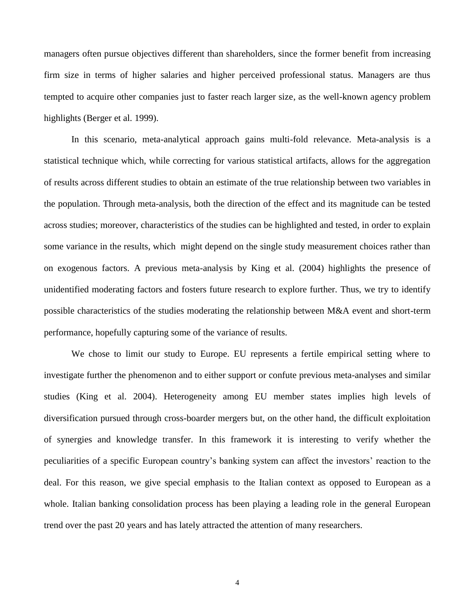managers often pursue objectives different than shareholders, since the former benefit from increasing firm size in terms of higher salaries and higher perceived professional status. Managers are thus tempted to acquire other companies just to faster reach larger size, as the well-known agency problem highlights (Berger et al. 1999).

In this scenario, meta-analytical approach gains multi-fold relevance. Meta-analysis is a statistical technique which, while correcting for various statistical artifacts, allows for the aggregation of results across different studies to obtain an estimate of the true relationship between two variables in the population. Through meta-analysis, both the direction of the effect and its magnitude can be tested across studies; moreover, characteristics of the studies can be highlighted and tested, in order to explain some variance in the results, which might depend on the single study measurement choices rather than on exogenous factors. A previous meta-analysis by King et al. (2004) highlights the presence of unidentified moderating factors and fosters future research to explore further. Thus, we try to identify possible characteristics of the studies moderating the relationship between M&A event and short-term performance, hopefully capturing some of the variance of results.

We chose to limit our study to Europe. EU represents a fertile empirical setting where to investigate further the phenomenon and to either support or confute previous meta-analyses and similar studies (King et al. 2004). Heterogeneity among EU member states implies high levels of diversification pursued through cross-boarder mergers but, on the other hand, the difficult exploitation of synergies and knowledge transfer. In this framework it is interesting to verify whether the peculiarities of a specific European country's banking system can affect the investors' reaction to the deal. For this reason, we give special emphasis to the Italian context as opposed to European as a whole. Italian banking consolidation process has been playing a leading role in the general European trend over the past 20 years and has lately attracted the attention of many researchers.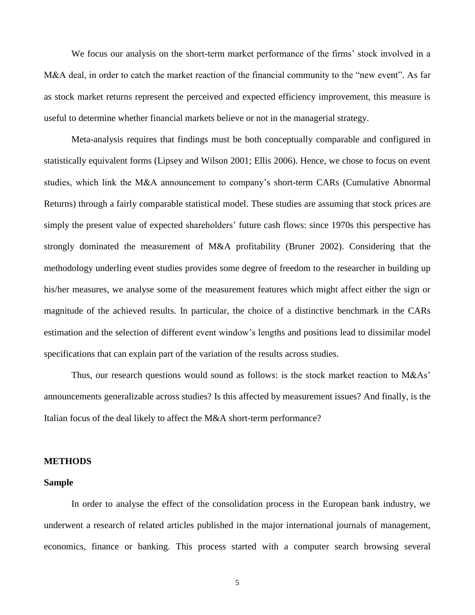We focus our analysis on the short-term market performance of the firms' stock involved in a M&A deal, in order to catch the market reaction of the financial community to the "new event". As far as stock market returns represent the perceived and expected efficiency improvement, this measure is useful to determine whether financial markets believe or not in the managerial strategy.

Meta-analysis requires that findings must be both conceptually comparable and configured in statistically equivalent forms (Lipsey and Wilson 2001; Ellis 2006). Hence, we chose to focus on event studies, which link the M&A announcement to company"s short-term CARs (Cumulative Abnormal Returns) through a fairly comparable statistical model. These studies are assuming that stock prices are simply the present value of expected shareholders' future cash flows: since 1970s this perspective has strongly dominated the measurement of M&A profitability (Bruner 2002). Considering that the methodology underling event studies provides some degree of freedom to the researcher in building up his/her measures, we analyse some of the measurement features which might affect either the sign or magnitude of the achieved results. In particular, the choice of a distinctive benchmark in the CARs estimation and the selection of different event window"s lengths and positions lead to dissimilar model specifications that can explain part of the variation of the results across studies.

Thus, our research questions would sound as follows: is the stock market reaction to M&As' announcements generalizable across studies? Is this affected by measurement issues? And finally, is the Italian focus of the deal likely to affect the M&A short-term performance?

## **METHODS**

## **Sample**

In order to analyse the effect of the consolidation process in the European bank industry, we underwent a research of related articles published in the major international journals of management, economics, finance or banking. This process started with a computer search browsing several

5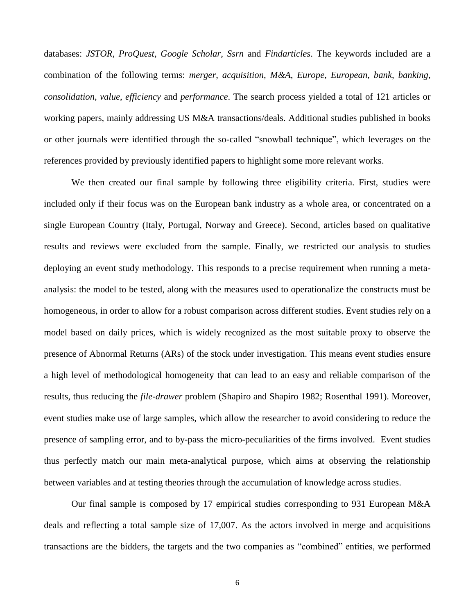databases: *JSTOR*, *ProQuest*, *Google Scholar, Ssrn* and *Findarticles*. The keywords included are a combination of the following terms: *merger*, *acquisition*, *M&A*, *Europe*, *European*, *bank*, *banking*, *consolidation*, *value*, *efficiency* and *performance*. The search process yielded a total of 121 articles or working papers, mainly addressing US M&A transactions/deals. Additional studies published in books or other journals were identified through the so-called "snowball technique", which leverages on the references provided by previously identified papers to highlight some more relevant works.

We then created our final sample by following three eligibility criteria. First, studies were included only if their focus was on the European bank industry as a whole area, or concentrated on a single European Country (Italy, Portugal, Norway and Greece). Second, articles based on qualitative results and reviews were excluded from the sample. Finally, we restricted our analysis to studies deploying an event study methodology. This responds to a precise requirement when running a metaanalysis: the model to be tested, along with the measures used to operationalize the constructs must be homogeneous, in order to allow for a robust comparison across different studies. Event studies rely on a model based on daily prices, which is widely recognized as the most suitable proxy to observe the presence of Abnormal Returns (ARs) of the stock under investigation. This means event studies ensure a high level of methodological homogeneity that can lead to an easy and reliable comparison of the results, thus reducing the *file-drawer* problem (Shapiro and Shapiro 1982; Rosenthal 1991). Moreover, event studies make use of large samples, which allow the researcher to avoid considering to reduce the presence of sampling error, and to by-pass the micro-peculiarities of the firms involved. Event studies thus perfectly match our main meta-analytical purpose, which aims at observing the relationship between variables and at testing theories through the accumulation of knowledge across studies.

Our final sample is composed by 17 empirical studies corresponding to 931 European M&A deals and reflecting a total sample size of 17,007. As the actors involved in merge and acquisitions transactions are the bidders, the targets and the two companies as "combined" entities, we performed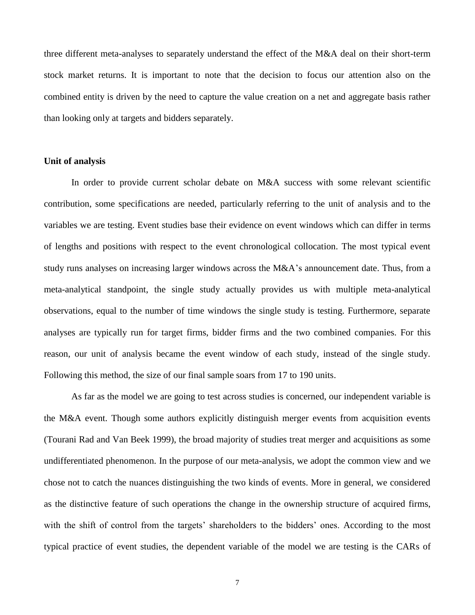three different meta-analyses to separately understand the effect of the M&A deal on their short-term stock market returns. It is important to note that the decision to focus our attention also on the combined entity is driven by the need to capture the value creation on a net and aggregate basis rather than looking only at targets and bidders separately.

#### **Unit of analysis**

In order to provide current scholar debate on M&A success with some relevant scientific contribution, some specifications are needed, particularly referring to the unit of analysis and to the variables we are testing. Event studies base their evidence on event windows which can differ in terms of lengths and positions with respect to the event chronological collocation. The most typical event study runs analyses on increasing larger windows across the M&A"s announcement date. Thus, from a meta-analytical standpoint, the single study actually provides us with multiple meta-analytical observations, equal to the number of time windows the single study is testing. Furthermore, separate analyses are typically run for target firms, bidder firms and the two combined companies. For this reason, our unit of analysis became the event window of each study, instead of the single study. Following this method, the size of our final sample soars from 17 to 190 units.

As far as the model we are going to test across studies is concerned, our independent variable is the M&A event. Though some authors explicitly distinguish merger events from acquisition events (Tourani Rad and Van Beek 1999), the broad majority of studies treat merger and acquisitions as some undifferentiated phenomenon. In the purpose of our meta-analysis, we adopt the common view and we chose not to catch the nuances distinguishing the two kinds of events. More in general, we considered as the distinctive feature of such operations the change in the ownership structure of acquired firms, with the shift of control from the targets' shareholders to the bidders' ones. According to the most typical practice of event studies, the dependent variable of the model we are testing is the CARs of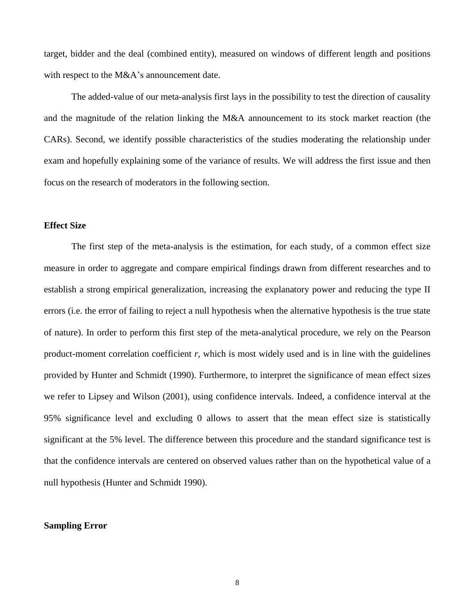target, bidder and the deal (combined entity), measured on windows of different length and positions with respect to the M&A's announcement date.

The added-value of our meta-analysis first lays in the possibility to test the direction of causality and the magnitude of the relation linking the M&A announcement to its stock market reaction (the CARs). Second, we identify possible characteristics of the studies moderating the relationship under exam and hopefully explaining some of the variance of results. We will address the first issue and then focus on the research of moderators in the following section.

#### **Effect Size**

The first step of the meta-analysis is the estimation, for each study, of a common effect size measure in order to aggregate and compare empirical findings drawn from different researches and to establish a strong empirical generalization, increasing the explanatory power and reducing the type II errors (i.e. the error of failing to reject a null hypothesis when the alternative hypothesis is the true state of nature). In order to perform this first step of the meta-analytical procedure, we rely on the Pearson product-moment correlation coefficient *r,* which is most widely used and is in line with the guidelines provided by Hunter and Schmidt (1990). Furthermore, to interpret the significance of mean effect sizes we refer to Lipsey and Wilson (2001), using confidence intervals. Indeed, a confidence interval at the 95% significance level and excluding 0 allows to assert that the mean effect size is statistically significant at the 5% level. The difference between this procedure and the standard significance test is that the confidence intervals are centered on observed values rather than on the hypothetical value of a null hypothesis (Hunter and Schmidt 1990).

## **Sampling Error**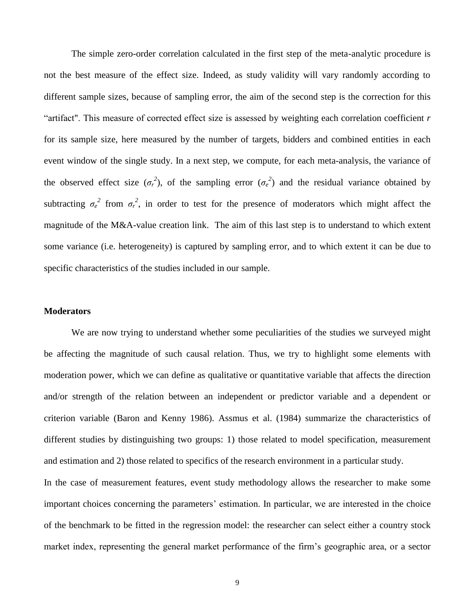The simple zero-order correlation calculated in the first step of the meta-analytic procedure is not the best measure of the effect size. Indeed, as study validity will vary randomly according to different sample sizes, because of sampling error, the aim of the second step is the correction for this "artifact". This measure of corrected effect size is assessed by weighting each correlation coefficient *r* for its sample size, here measured by the number of targets, bidders and combined entities in each event window of the single study. In a next step, we compute, for each meta-analysis, the variance of the observed effect size  $(\sigma_r^2)$ , of the sampling error  $(\sigma_e^2)$  and the residual variance obtained by subtracting  $\sigma_e^2$  from  $\sigma_r^2$ , in order to test for the presence of moderators which might affect the magnitude of the M&A-value creation link. The aim of this last step is to understand to which extent some variance (i.e. heterogeneity) is captured by sampling error, and to which extent it can be due to specific characteristics of the studies included in our sample.

#### **Moderators**

We are now trying to understand whether some peculiarities of the studies we surveyed might be affecting the magnitude of such causal relation. Thus, we try to highlight some elements with moderation power, which we can define as qualitative or quantitative variable that affects the direction and/or strength of the relation between an independent or predictor variable and a dependent or criterion variable (Baron and Kenny 1986). Assmus et al. (1984) summarize the characteristics of different studies by distinguishing two groups: 1) those related to model specification, measurement and estimation and 2) those related to specifics of the research environment in a particular study.

In the case of measurement features, event study methodology allows the researcher to make some important choices concerning the parameters' estimation. In particular, we are interested in the choice of the benchmark to be fitted in the regression model: the researcher can select either a country stock market index, representing the general market performance of the firm"s geographic area, or a sector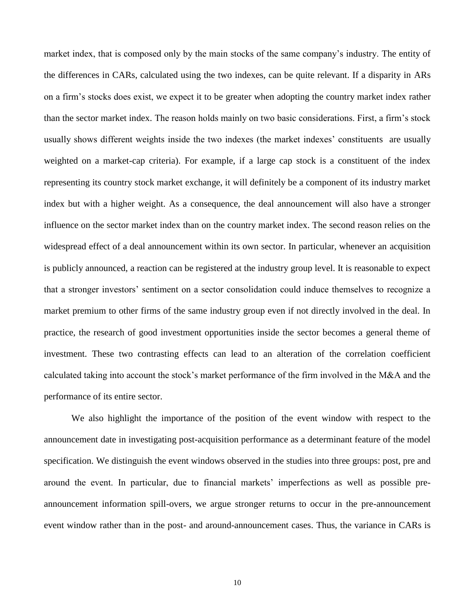market index, that is composed only by the main stocks of the same company"s industry. The entity of the differences in CARs, calculated using the two indexes, can be quite relevant. If a disparity in ARs on a firm"s stocks does exist, we expect it to be greater when adopting the country market index rather than the sector market index. The reason holds mainly on two basic considerations. First, a firm"s stock usually shows different weights inside the two indexes (the market indexes" constituents are usually weighted on a market-cap criteria). For example, if a large cap stock is a constituent of the index representing its country stock market exchange, it will definitely be a component of its industry market index but with a higher weight. As a consequence, the deal announcement will also have a stronger influence on the sector market index than on the country market index. The second reason relies on the widespread effect of a deal announcement within its own sector. In particular, whenever an acquisition is publicly announced, a reaction can be registered at the industry group level. It is reasonable to expect that a stronger investors" sentiment on a sector consolidation could induce themselves to recognize a market premium to other firms of the same industry group even if not directly involved in the deal. In practice, the research of good investment opportunities inside the sector becomes a general theme of investment. These two contrasting effects can lead to an alteration of the correlation coefficient calculated taking into account the stock"s market performance of the firm involved in the M&A and the performance of its entire sector.

We also highlight the importance of the position of the event window with respect to the announcement date in investigating post-acquisition performance as a determinant feature of the model specification. We distinguish the event windows observed in the studies into three groups: post, pre and around the event. In particular, due to financial markets' imperfections as well as possible preannouncement information spill-overs, we argue stronger returns to occur in the pre-announcement event window rather than in the post- and around-announcement cases. Thus, the variance in CARs is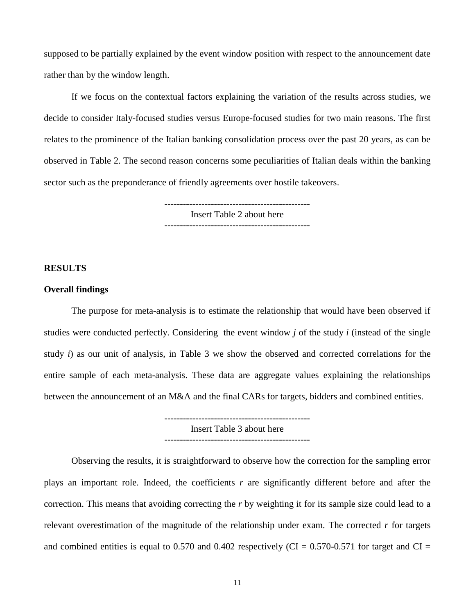supposed to be partially explained by the event window position with respect to the announcement date rather than by the window length.

If we focus on the contextual factors explaining the variation of the results across studies, we decide to consider Italy-focused studies versus Europe-focused studies for two main reasons. The first relates to the prominence of the Italian banking consolidation process over the past 20 years, as can be observed in Table 2. The second reason concerns some peculiarities of Italian deals within the banking sector such as the preponderance of friendly agreements over hostile takeovers.

> ----------------------------------------------- Insert Table 2 about here

#### **RESULTS**

#### **Overall findings**

The purpose for meta-analysis is to estimate the relationship that would have been observed if studies were conducted perfectly. Considering the event window *j* of the study *i* (instead of the single study *i*) as our unit of analysis, in Table 3 we show the observed and corrected correlations for the entire sample of each meta-analysis. These data are aggregate values explaining the relationships between the announcement of an M&A and the final CARs for targets, bidders and combined entities.

> ----------------------------------------------- Insert Table 3 about here -----------------------------------------------

Observing the results, it is straightforward to observe how the correction for the sampling error plays an important role. Indeed, the coefficients *r* are significantly different before and after the correction. This means that avoiding correcting the *r* by weighting it for its sample size could lead to a relevant overestimation of the magnitude of the relationship under exam. The corrected *r* for targets and combined entities is equal to 0.570 and 0.402 respectively (CI =  $0.570$ -0.571 for target and CI =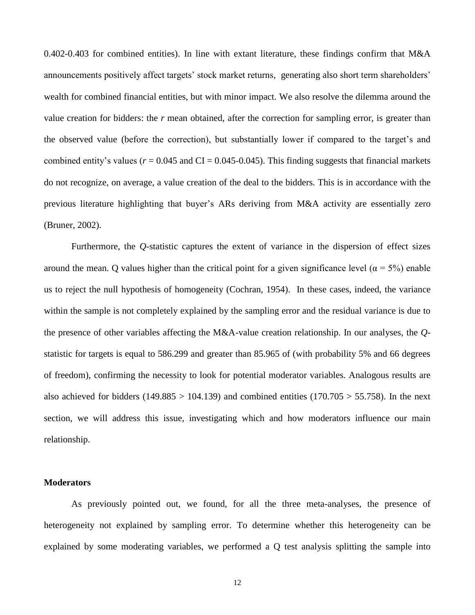0.402-0.403 for combined entities). In line with extant literature, these findings confirm that M&A announcements positively affect targets' stock market returns, generating also short term shareholders' wealth for combined financial entities, but with minor impact. We also resolve the dilemma around the value creation for bidders: the *r* mean obtained, after the correction for sampling error, is greater than the observed value (before the correction), but substantially lower if compared to the target's and combined entity's values ( $r = 0.045$  and CI = 0.045-0.045). This finding suggests that financial markets do not recognize, on average, a value creation of the deal to the bidders. This is in accordance with the previous literature highlighting that buyer"s ARs deriving from M&A activity are essentially zero (Bruner, 2002).

Furthermore, the *Q*-statistic captures the extent of variance in the dispersion of effect sizes around the mean. Q values higher than the critical point for a given significance level ( $\alpha = 5\%$ ) enable us to reject the null hypothesis of homogeneity (Cochran, 1954). In these cases, indeed, the variance within the sample is not completely explained by the sampling error and the residual variance is due to the presence of other variables affecting the M&A-value creation relationship. In our analyses, the *Q*statistic for targets is equal to 586.299 and greater than 85.965 of (with probability 5% and 66 degrees of freedom), confirming the necessity to look for potential moderator variables. Analogous results are also achieved for bidders (149.885 > 104.139) and combined entities (170.705 > 55.758). In the next section, we will address this issue, investigating which and how moderators influence our main relationship.

#### **Moderators**

As previously pointed out, we found, for all the three meta-analyses, the presence of heterogeneity not explained by sampling error. To determine whether this heterogeneity can be explained by some moderating variables, we performed a Q test analysis splitting the sample into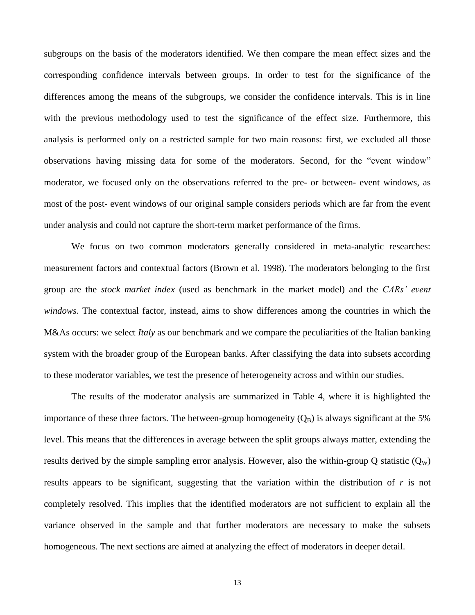subgroups on the basis of the moderators identified. We then compare the mean effect sizes and the corresponding confidence intervals between groups. In order to test for the significance of the differences among the means of the subgroups, we consider the confidence intervals. This is in line with the previous methodology used to test the significance of the effect size. Furthermore, this analysis is performed only on a restricted sample for two main reasons: first, we excluded all those observations having missing data for some of the moderators. Second, for the "event window" moderator, we focused only on the observations referred to the pre- or between- event windows, as most of the post- event windows of our original sample considers periods which are far from the event under analysis and could not capture the short-term market performance of the firms.

We focus on two common moderators generally considered in meta-analytic researches: measurement factors and contextual factors (Brown et al. 1998). The moderators belonging to the first group are the *stock market index* (used as benchmark in the market model) and the *CARs' event windows*. The contextual factor, instead, aims to show differences among the countries in which the M&As occurs: we select *Italy* as our benchmark and we compare the peculiarities of the Italian banking system with the broader group of the European banks. After classifying the data into subsets according to these moderator variables, we test the presence of heterogeneity across and within our studies.

The results of the moderator analysis are summarized in Table 4, where it is highlighted the importance of these three factors. The between-group homogeneity  $(Q_B)$  is always significant at the 5% level. This means that the differences in average between the split groups always matter, extending the results derived by the simple sampling error analysis. However, also the within-group Q statistic  $(Q_W)$ results appears to be significant, suggesting that the variation within the distribution of *r* is not completely resolved. This implies that the identified moderators are not sufficient to explain all the variance observed in the sample and that further moderators are necessary to make the subsets homogeneous. The next sections are aimed at analyzing the effect of moderators in deeper detail.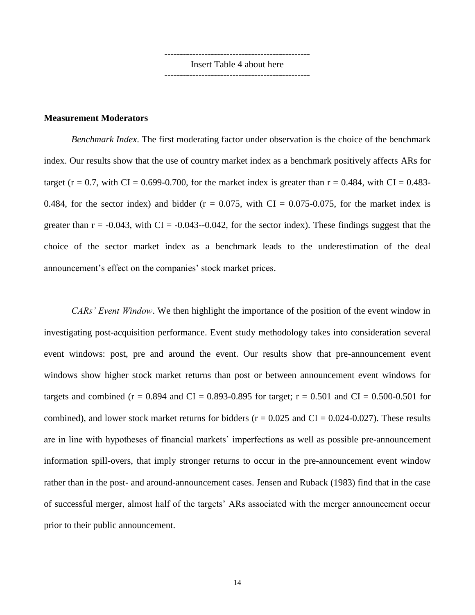----------------------------------------------- Insert Table 4 about here -----------------------------------------------

#### **Measurement Moderators**

*Benchmark Index*. The first moderating factor under observation is the choice of the benchmark index. Our results show that the use of country market index as a benchmark positively affects ARs for target (r = 0.7, with CI = 0.699-0.700, for the market index is greater than  $r = 0.484$ , with CI = 0.483-0.484, for the sector index) and bidder ( $r = 0.075$ , with CI = 0.075-0.075, for the market index is greater than  $r = -0.043$ , with CI =  $-0.043$ -0.042, for the sector index). These findings suggest that the choice of the sector market index as a benchmark leads to the underestimation of the deal announcement's effect on the companies' stock market prices.

*CARs' Event Window*. We then highlight the importance of the position of the event window in investigating post-acquisition performance. Event study methodology takes into consideration several event windows: post, pre and around the event. Our results show that pre-announcement event windows show higher stock market returns than post or between announcement event windows for targets and combined ( $r = 0.894$  and CI = 0.893-0.895 for target;  $r = 0.501$  and CI = 0.500-0.501 for combined), and lower stock market returns for bidders ( $r = 0.025$  and CI = 0.024-0.027). These results are in line with hypotheses of financial markets" imperfections as well as possible pre-announcement information spill-overs, that imply stronger returns to occur in the pre-announcement event window rather than in the post- and around-announcement cases. Jensen and Ruback (1983) find that in the case of successful merger, almost half of the targets" ARs associated with the merger announcement occur prior to their public announcement.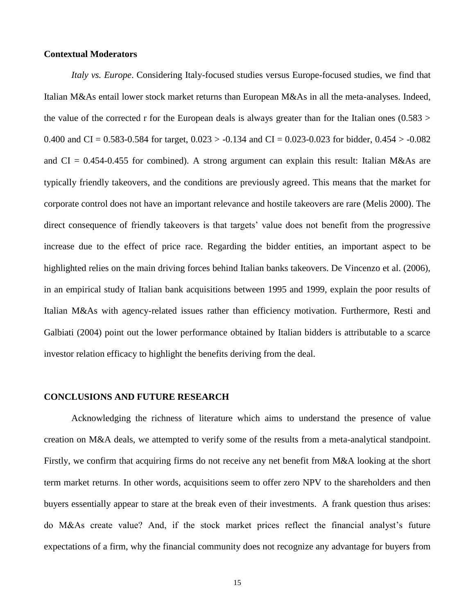#### **Contextual Moderators**

*Italy vs. Europe*. Considering Italy-focused studies versus Europe-focused studies, we find that Italian M&As entail lower stock market returns than European M&As in all the meta-analyses. Indeed, the value of the corrected r for the European deals is always greater than for the Italian ones  $(0.583 >$ 0.400 and CI = 0.583-0.584 for target,  $0.023 > -0.134$  and CI = 0.023-0.023 for bidder,  $0.454 > -0.082$ and  $CI = 0.454 - 0.455$  for combined). A strong argument can explain this result: Italian M&As are typically friendly takeovers, and the conditions are previously agreed. This means that the market for corporate control does not have an important relevance and hostile takeovers are rare (Melis 2000). The direct consequence of friendly takeovers is that targets" value does not benefit from the progressive increase due to the effect of price race. Regarding the bidder entities, an important aspect to be highlighted relies on the main driving forces behind Italian banks takeovers. De Vincenzo et al. (2006), in an empirical study of Italian bank acquisitions between 1995 and 1999, explain the poor results of Italian M&As with agency-related issues rather than efficiency motivation. Furthermore, Resti and Galbiati (2004) point out the lower performance obtained by Italian bidders is attributable to a scarce investor relation efficacy to highlight the benefits deriving from the deal.

## **CONCLUSIONS AND FUTURE RESEARCH**

Acknowledging the richness of literature which aims to understand the presence of value creation on M&A deals, we attempted to verify some of the results from a meta-analytical standpoint. Firstly, we confirm that acquiring firms do not receive any net benefit from M&A looking at the short term market returns. In other words, acquisitions seem to offer zero NPV to the shareholders and then buyers essentially appear to stare at the break even of their investments. A frank question thus arises: do M&As create value? And, if the stock market prices reflect the financial analyst's future expectations of a firm, why the financial community does not recognize any advantage for buyers from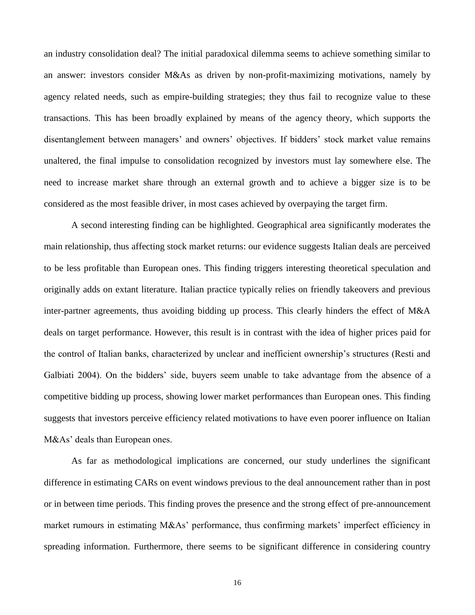an industry consolidation deal? The initial paradoxical dilemma seems to achieve something similar to an answer: investors consider M&As as driven by non-profit-maximizing motivations, namely by agency related needs, such as empire-building strategies; they thus fail to recognize value to these transactions. This has been broadly explained by means of the agency theory, which supports the disentanglement between managers' and owners' objectives. If bidders' stock market value remains unaltered, the final impulse to consolidation recognized by investors must lay somewhere else. The need to increase market share through an external growth and to achieve a bigger size is to be considered as the most feasible driver, in most cases achieved by overpaying the target firm.

A second interesting finding can be highlighted. Geographical area significantly moderates the main relationship, thus affecting stock market returns: our evidence suggests Italian deals are perceived to be less profitable than European ones. This finding triggers interesting theoretical speculation and originally adds on extant literature. Italian practice typically relies on friendly takeovers and previous inter-partner agreements, thus avoiding bidding up process. This clearly hinders the effect of M&A deals on target performance. However, this result is in contrast with the idea of higher prices paid for the control of Italian banks, characterized by unclear and inefficient ownership"s structures (Resti and Galbiati 2004). On the bidders" side, buyers seem unable to take advantage from the absence of a competitive bidding up process, showing lower market performances than European ones. This finding suggests that investors perceive efficiency related motivations to have even poorer influence on Italian M&As' deals than European ones.

As far as methodological implications are concerned, our study underlines the significant difference in estimating CARs on event windows previous to the deal announcement rather than in post or in between time periods. This finding proves the presence and the strong effect of pre-announcement market rumours in estimating M&As' performance, thus confirming markets' imperfect efficiency in spreading information. Furthermore, there seems to be significant difference in considering country

16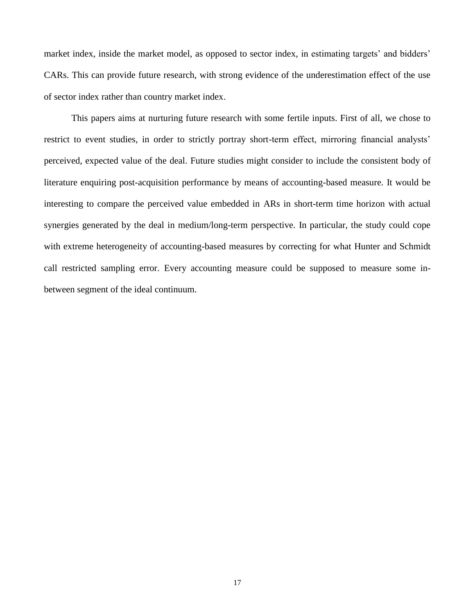market index, inside the market model, as opposed to sector index, in estimating targets' and bidders' CARs. This can provide future research, with strong evidence of the underestimation effect of the use of sector index rather than country market index.

This papers aims at nurturing future research with some fertile inputs. First of all, we chose to restrict to event studies, in order to strictly portray short-term effect, mirroring financial analysts' perceived, expected value of the deal. Future studies might consider to include the consistent body of literature enquiring post-acquisition performance by means of accounting-based measure. It would be interesting to compare the perceived value embedded in ARs in short-term time horizon with actual synergies generated by the deal in medium/long-term perspective. In particular, the study could cope with extreme heterogeneity of accounting-based measures by correcting for what Hunter and Schmidt call restricted sampling error. Every accounting measure could be supposed to measure some inbetween segment of the ideal continuum.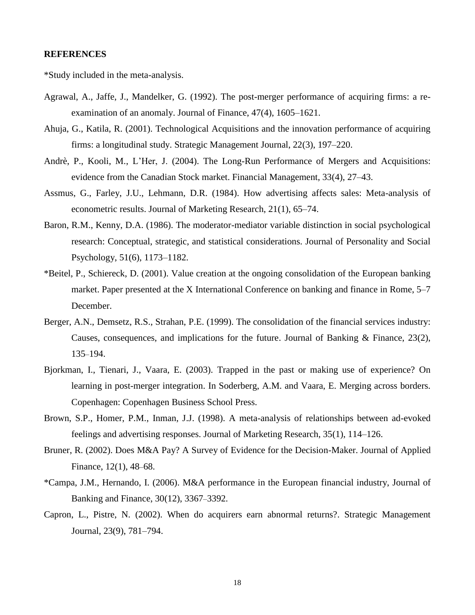#### **REFERENCES**

\*Study included in the meta-analysis.

- Agrawal, A., Jaffe, J., Mandelker, G. (1992). The post-merger performance of acquiring firms: a reexamination of an anomaly. Journal of Finance, 47(4), 1605–1621.
- Ahuja, G., Katila, R. (2001). Technological Acquisitions and the innovation performance of acquiring firms: a longitudinal study. Strategic Management Journal, 22(3), 197–220.
- Andrè, P., Kooli, M., L"Her, J. (2004). The Long-Run Performance of Mergers and Acquisitions: evidence from the Canadian Stock market. Financial Management, 33(4), 27–43.
- Assmus, G., Farley, J.U., Lehmann, D.R. (1984). How advertising affects sales: Meta-analysis of econometric results. Journal of Marketing Research, 21(1), 65–74.
- Baron, R.M., Kenny, D.A. (1986). The moderator-mediator variable distinction in social psychological research: Conceptual, strategic, and statistical considerations. Journal of Personality and Social Psychology, 51(6), 1173–1182.
- \*Beitel, P., Schiereck, D. (2001). Value creation at the ongoing consolidation of the European banking market. Paper presented at the X International Conference on banking and finance in Rome, 5–7 December.
- Berger, A.N., Demsetz, R.S., Strahan, P.E. (1999). The consolidation of the financial services industry: Causes, consequences, and implications for the future. Journal of Banking & Finance, 23(2), 135–194.
- Bjorkman, I., Tienari, J., Vaara, E. (2003). Trapped in the past or making use of experience? On learning in post-merger integration. In Soderberg, A.M. and Vaara, E. Merging across borders. Copenhagen: Copenhagen Business School Press.
- Brown, S.P., Homer, P.M., Inman, J.J. (1998). A meta-analysis of relationships between ad-evoked feelings and advertising responses. Journal of Marketing Research, 35(1), 114–126.
- Bruner, R. (2002). Does M&A Pay? A Survey of Evidence for the Decision-Maker. Journal of Applied Finance, 12(1), 48–68.
- \*Campa, J.M., Hernando, I. (2006). M&A performance in the European financial industry, Journal of Banking and Finance, 30(12), 3367–3392.
- Capron, L., Pistre, N. (2002). When do acquirers earn abnormal returns?. Strategic Management Journal, 23(9), 781–794.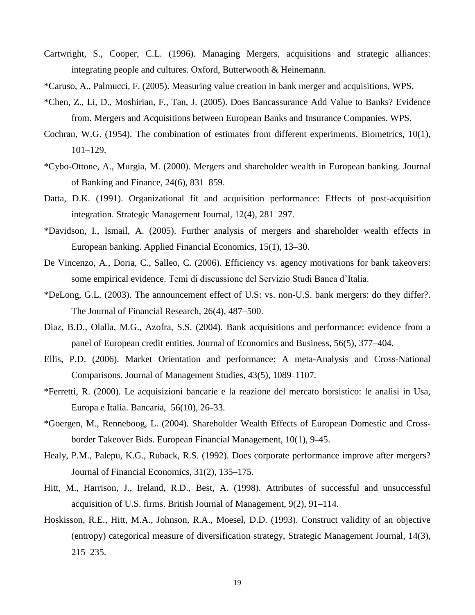- Cartwright, S., Cooper, C.L. (1996). Managing Mergers, acquisitions and strategic alliances: integrating people and cultures. Oxford, Butterwooth & Heinemann.
- \*Caruso, A., Palmucci, F. (2005). Measuring value creation in bank merger and acquisitions, WPS.
- \*Chen, Z., Li, D., Moshirian, F., Tan, J. (2005). Does Bancassurance Add Value to Banks? Evidence from. Mergers and Acquisitions between European Banks and Insurance Companies. WPS.
- Cochran, W.G. (1954). The combination of estimates from different experiments. Biometrics, 10(1), 101–129.
- \*Cybo-Ottone, A., Murgia, M. (2000). Mergers and shareholder wealth in European banking. Journal of Banking and Finance, 24(6), 831–859.
- Datta, D.K. (1991). Organizational fit and acquisition performance: Effects of post-acquisition integration. Strategic Management Journal, 12(4), 281–297.
- \*Davidson, I., Ismail, A. (2005). Further analysis of mergers and shareholder wealth effects in European banking. Applied Financial Economics, 15(1), 13–30.
- De Vincenzo, A., Doria, C., Salleo, C. (2006). Efficiency vs. agency motivations for bank takeovers: some empirical evidence. Temi di discussione del Servizio Studi Banca d"Italia.
- \*DeLong, G.L. (2003). The announcement effect of U.S: vs. non-U.S. bank mergers: do they differ?. The Journal of Financial Research, 26(4), 487–500.
- Diaz, B.D., Olalla, M.G., Azofra, S.S. (2004). Bank acquisitions and performance: evidence from a panel of European credit entities. Journal of Economics and Business, 56(5), 377–404.
- Ellis, P.D. (2006). Market Orientation and performance: A meta-Analysis and Cross-National Comparisons. Journal of Management Studies, 43(5), 1089–1107.
- \*Ferretti, R. (2000). Le acquisizioni bancarie e la reazione del mercato borsistico: le analisi in Usa, Europa e Italia. Bancaria, 56(10), 26–33.
- \*Goergen, M., Renneboog, L. (2004). Shareholder Wealth Effects of European Domestic and Crossborder Takeover Bids. European Financial Management, 10(1), 9–45.
- Healy, P.M., Palepu, K.G., Ruback, R.S. (1992). Does corporate performance improve after mergers? Journal of Financial Economics, 31(2), 135–175.
- Hitt, M., Harrison, J., Ireland, R.D., Best, A. (1998). Attributes of successful and unsuccessful acquisition of U.S. firms. British Journal of Management, 9(2), 91–114.
- Hoskisson, R.E., Hitt, M.A., Johnson, R.A., Moesel, D.D. (1993). Construct validity of an objective (entropy) categorical measure of diversification strategy, Strategic Management Journal, 14(3), 215–235.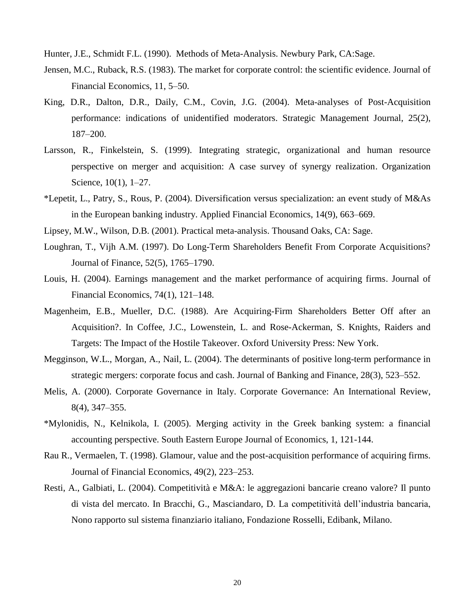Hunter, J.E., Schmidt F.L. (1990). Methods of Meta-Analysis. Newbury Park, CA:Sage.

- Jensen, M.C., Ruback, R.S. (1983). The market for corporate control: the scientific evidence. Journal of Financial Economics, 11, 5–50.
- King, D.R., Dalton, D.R., Daily, C.M., Covin, J.G. (2004). Meta-analyses of Post-Acquisition performance: indications of unidentified moderators. Strategic Management Journal, 25(2), 187–200.
- Larsson, R., Finkelstein, S. (1999). Integrating strategic, organizational and human resource perspective on merger and acquisition: A case survey of synergy realization. Organization Science, 10(1), 1–27.
- \*Lepetit, L., Patry, S., Rous, P. (2004). Diversification versus specialization: an event study of M&As in the European banking industry. Applied Financial Economics, 14(9), 663–669.
- Lipsey, M.W., Wilson, D.B. (2001). Practical meta-analysis. Thousand Oaks, CA: Sage.
- Loughran, T., Vijh A.M. (1997). Do Long-Term Shareholders Benefit From Corporate Acquisitions? Journal of Finance, 52(5), 1765–1790.
- Louis, H. (2004). Earnings management and the market performance of acquiring firms. Journal of Financial Economics, 74(1), 121–148.
- Magenheim, E.B., Mueller, D.C. (1988). Are Acquiring-Firm Shareholders Better Off after an Acquisition?. In Coffee, J.C., Lowenstein, L. and Rose-Ackerman, S. Knights, Raiders and Targets: The Impact of the Hostile Takeover. Oxford University Press: New York.
- Megginson, W.L., Morgan, A., Nail, L. (2004). The determinants of positive long-term performance in strategic mergers: corporate focus and cash. Journal of Banking and Finance, 28(3), 523–552.
- Melis, A. (2000). Corporate Governance in Italy. Corporate Governance: An International Review, 8(4), 347–355.
- \*Mylonidis, N., Kelnikola, I. (2005). Merging activity in the Greek banking system: a financial accounting perspective. South Eastern Europe Journal of Economics, 1, 121-144.
- Rau R., Vermaelen, T. (1998). Glamour, value and the post-acquisition performance of acquiring firms. Journal of Financial Economics, 49(2), 223–253.
- Resti, A., Galbiati, L. (2004). Competitività e M&A: le aggregazioni bancarie creano valore? Il punto di vista del mercato. In Bracchi, G., Masciandaro, D. La competitività dell"industria bancaria, Nono rapporto sul sistema finanziario italiano, Fondazione Rosselli, Edibank, Milano.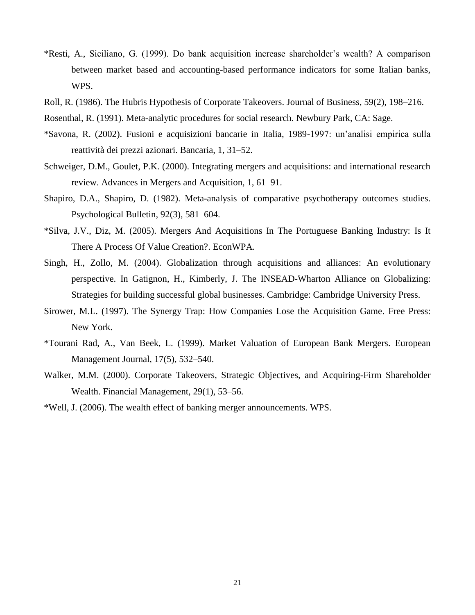- \*Resti, A., Siciliano, G. (1999). Do bank acquisition increase shareholder"s wealth? A comparison between market based and accounting-based performance indicators for some Italian banks, WPS.
- Roll, R. (1986). The Hubris Hypothesis of Corporate Takeovers. Journal of Business, 59(2), 198–216.
- Rosenthal, R. (1991). Meta-analytic procedures for social research. Newbury Park, CA: Sage.
- \*Savona, R. (2002). Fusioni e acquisizioni bancarie in Italia, 1989-1997: un"analisi empirica sulla reattività dei prezzi azionari. Bancaria, 1, 31–52.
- Schweiger, D.M., Goulet, P.K. (2000). Integrating mergers and acquisitions: and international research review. Advances in Mergers and Acquisition, 1, 61–91.
- Shapiro, D.A., Shapiro, D. (1982). Meta-analysis of comparative psychotherapy outcomes studies. Psychological Bulletin, 92(3), 581–604.
- \*Silva, J.V., Diz, M. (2005). Mergers And Acquisitions In The Portuguese Banking Industry: Is It There A Process Of Value Creation?. EconWPA.
- Singh, H., Zollo, M. (2004). Globalization through acquisitions and alliances: An evolutionary perspective. In Gatignon, H., Kimberly, J. The INSEAD-Wharton Alliance on Globalizing: Strategies for building successful global businesses. Cambridge: Cambridge University Press.
- Sirower, M.L. (1997). The Synergy Trap: How Companies Lose the Acquisition Game. Free Press: New York.
- \*Tourani Rad, A., Van Beek, L. (1999). Market Valuation of European Bank Mergers. European Management Journal, 17(5), 532–540.
- Walker, M.M. (2000). Corporate Takeovers, Strategic Objectives, and Acquiring-Firm Shareholder Wealth. Financial Management, 29(1), 53–56.
- \*Well, J. (2006). The wealth effect of banking merger announcements. WPS.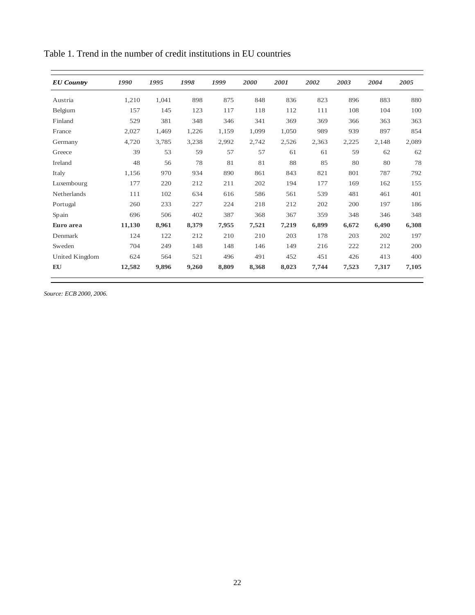| <b>EU</b> Country | 1990   | 1995  | 1998  | 1999  | 2000  | 2001  | 2002  | 2003  | 2004  | 2005  |
|-------------------|--------|-------|-------|-------|-------|-------|-------|-------|-------|-------|
| Austria           | 1,210  | 1,041 | 898   | 875   | 848   | 836   | 823   | 896   | 883   | 880   |
| Belgium           | 157    | 145   | 123   | 117   | 118   | 112   | 111   | 108   | 104   | 100   |
| Finland           | 529    | 381   | 348   | 346   | 341   | 369   | 369   | 366   | 363   | 363   |
| France            | 2,027  | 1,469 | 1,226 | 1,159 | 1,099 | 1,050 | 989   | 939   | 897   | 854   |
| Germany           | 4,720  | 3,785 | 3,238 | 2,992 | 2,742 | 2,526 | 2,363 | 2,225 | 2,148 | 2,089 |
| Greece            | 39     | 53    | 59    | 57    | 57    | 61    | 61    | 59    | 62    | 62    |
| Ireland           | 48     | 56    | 78    | 81    | 81    | 88    | 85    | 80    | 80    | 78    |
| Italy             | 1,156  | 970   | 934   | 890   | 861   | 843   | 821   | 801   | 787   | 792   |
| Luxembourg        | 177    | 220   | 212   | 211   | 202   | 194   | 177   | 169   | 162   | 155   |
| Netherlands       | 111    | 102   | 634   | 616   | 586   | 561   | 539   | 481   | 461   | 401   |
| Portugal          | 260    | 233   | 227   | 224   | 218   | 212   | 202   | 200   | 197   | 186   |
| Spain             | 696    | 506   | 402   | 387   | 368   | 367   | 359   | 348   | 346   | 348   |
| Euro area         | 11,130 | 8,961 | 8,379 | 7,955 | 7,521 | 7,219 | 6,899 | 6,672 | 6,490 | 6,308 |
| Denmark           | 124    | 122   | 212   | 210   | 210   | 203   | 178   | 203   | 202   | 197   |
| Sweden            | 704    | 249   | 148   | 148   | 146   | 149   | 216   | 222   | 212   | 200   |
| United Kingdom    | 624    | 564   | 521   | 496   | 491   | 452   | 451   | 426   | 413   | 400   |
| EU                | 12,582 | 9,896 | 9,260 | 8,809 | 8,368 | 8,023 | 7,744 | 7,523 | 7,317 | 7,105 |

Table 1. Trend in the number of credit institutions in EU countries

*Source: ECB 2000, 2006.*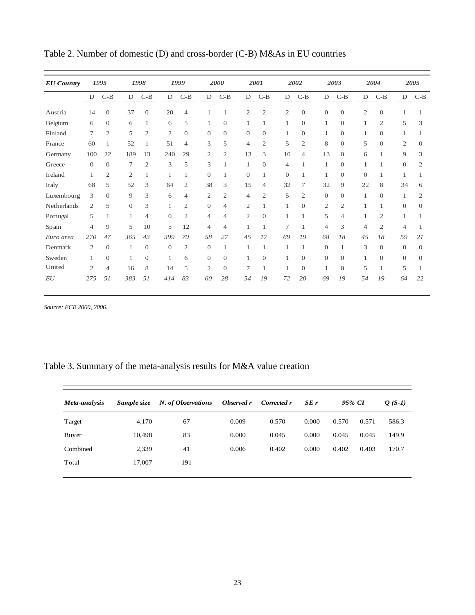| <b>EU</b> Country | 1995           |                | 1998         |                | 1999           |                |                | 2000<br>2001   |                |                | 2002 |                | 2003             |                  |                | 2004           |                | 2005     |                |
|-------------------|----------------|----------------|--------------|----------------|----------------|----------------|----------------|----------------|----------------|----------------|------|----------------|------------------|------------------|----------------|----------------|----------------|----------|----------------|
|                   | D              | $C-B$          | $\mathbf D$  | $C-B$          | D              | $C-B$          | $\mathbf D$    | $C-B$          | D              | $C-B$          |      | $\mathbf D$    | $C-B$            | D                | $C-B$          | $\mathbf D$    | $C-B$          | D        | $C-B$          |
| Austria           | 14             | $\mathbf{0}$   | 37           | $\mathbf{0}$   | 20             | $\overline{4}$ |                |                | $\mathfrak{2}$ | $\mathfrak{2}$ |      | $\mathfrak{2}$ | $\boldsymbol{0}$ | $\mathbf{0}$     | $\mathbf{0}$   | $\mathfrak{2}$ | $\theta$       |          |                |
| Belgium           | 6              | $\theta$       | 6            | 1              | 6              | 5              | 1              | $\theta$       | 1              | 1              | 1    |                | $\boldsymbol{0}$ | $\mathbf{1}$     | $\theta$       | 1              | $\mathfrak{2}$ | 5        | 3              |
| Finland           | 7              | $\mathfrak{2}$ | 5            | $\mathfrak{2}$ | $\mathfrak{2}$ | $\overline{0}$ | $\overline{0}$ | $\Omega$       | $\theta$       | $\overline{0}$ |      |                | $\mathbf{0}$     | 1                | $\theta$       | 1              | $\theta$       | 1        |                |
| France            | 60             | 1              | 52           | 1              | 51             | $\overline{4}$ | 3              | 5              | $\overline{4}$ | $\mathfrak{2}$ | 5    |                | $\mathfrak{2}$   | 8                | $\theta$       | 5              | $\theta$       | 2        | $\Omega$       |
| Germany           | 100            | 22             | 189          | 13             | 240            | 29             | $\overline{2}$ | 2              | 13             | 3              |      | 10             | $\overline{4}$   | 13               | $\theta$       | 6              | 1              | 9        | 3              |
| Greece            | $\theta$       | $\theta$       | 7            | $\overline{2}$ | 3              | 5              | 3              |                | 1              | $\overline{0}$ |      | $\overline{4}$ | 1                | 1                | $\theta$       | 1              | 1              | $\theta$ | $\overline{c}$ |
| Ireland           | 1              | 2              | $\mathbf{2}$ | 1              | 1              | 1              | $\overline{0}$ | 1              | $\theta$       | 1              |      | $\overline{0}$ | 1                | 1                | $\theta$       | $\theta$       | 1              | 1        |                |
| Italy             | 68             | 5              | 52           | 3              | 64             | $\overline{2}$ | 38             | 3              | 15             | 4              | 32   |                | 7                | 32               | 9              | 22             | 8              | 34       | 6              |
| Luxembourg        | 3              | $\mathbf{0}$   | 9            | 3              | 6              | $\overline{4}$ | $\mathfrak{2}$ | $\overline{2}$ | $\overline{4}$ | $\overline{2}$ | 5    |                | $\mathfrak{2}$   | $\boldsymbol{0}$ | $\theta$       | 1              | $\theta$       | 1        | $\overline{c}$ |
| Netherlands       | 2              | 5              | $\theta$     | 3              | 1              | $\overline{2}$ | $\overline{0}$ | 4              | $\overline{2}$ | 1              | 1    |                | $\overline{0}$   | $\mathfrak{2}$   | $\mathfrak{2}$ | 1              | 1              | $\theta$ | $\theta$       |
| Portugal          | 5              | 1              | 1            | $\overline{4}$ | $\mathbf{0}$   | $\mathfrak{2}$ | 4              | $\overline{4}$ | $\mathfrak{2}$ | $\overline{0}$ | 1    |                | 1                | 5                | 4              | 1              | $\mathfrak{2}$ | 1        |                |
| Spain             | 4              | 9              | 5            | 10             | 5              | 12             | $\overline{4}$ | $\overline{4}$ | 1              | 1              | 7    |                | 1                | $\overline{4}$   | 3              | $\overline{4}$ | $\mathfrak{2}$ | 4        |                |
| Euro area         | 270            | 47             | 365          | 43             | 399            | 70             | 58             | 27             | 45             | 17             | 69   |                | 19               | 68               | 18             | 45             | 18             | 59       | 21             |
| Denmark           | 2              | $\theta$       |              | $\theta$       | $\mathbf{0}$   | $\overline{2}$ | $\overline{0}$ | 1              | 1              | 1              | 1    |                | 1                | $\overline{0}$   | 1              | 3              | $\theta$       | $\theta$ | $\Omega$       |
| Sweden            | 1              | $\mathbf{0}$   | 1            | $\mathbf{0}$   | $\mathbf{1}$   | 6              | $\overline{0}$ | $\theta$       | 1              | $\overline{0}$ | 1    |                | $\mathbf{0}$     | $\mathbf{0}$     | $\mathbf{0}$   | 1              | $\theta$       | $\theta$ | 0              |
| United            | $\overline{2}$ | $\overline{4}$ | 16           | 8              | 14             | 5              | $\overline{2}$ | $\theta$       | 7              | 1              |      |                | $\mathbf{0}$     | $\mathbf{1}$     | $\theta$       | 5              | 1              | 5        |                |
| EU                | 275            | 51             | 383          | 51             | 414            | 83             | 60             | 28             | 54             | 19             | 72   |                | 20               | 69               | 19             | 54             | 19             | 64       | 22             |

Table 2. Number of domestic (D) and cross-border (C-B) M&As in EU countries

*Source: ECB 2000, 2006.*

## Table 3. Summary of the meta-analysis results for M&A value creation

| Meta-analysis | Sample size | N. of Observations | Observed r | Corrected r | SEr   | 95% CI | $Q(S-1)$ |       |
|---------------|-------------|--------------------|------------|-------------|-------|--------|----------|-------|
| Target        | 4,170       | 67                 | 0.009      | 0.570       | 0.000 | 0.570  | 0.571    | 586.3 |
| Buyer         | 10,498      | 83                 | 0.000      | 0.045       | 0.000 | 0.045  | 0.045    | 149.9 |
| Combined      | 2,339       | 41                 | 0.006      | 0.402       | 0.000 | 0.402  | 0.403    | 170.7 |
| Total         | 17,007      | 191                |            |             |       |        |          |       |